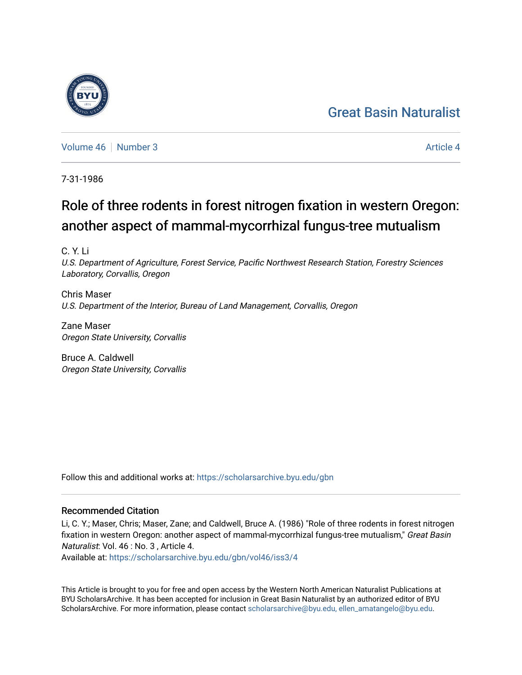## [Great Basin Naturalist](https://scholarsarchive.byu.edu/gbn)



[Volume 46](https://scholarsarchive.byu.edu/gbn/vol46) [Number 3](https://scholarsarchive.byu.edu/gbn/vol46/iss3) [Article 4](https://scholarsarchive.byu.edu/gbn/vol46/iss3/4) Article 4

7-31-1986

# Role of three rodents in forest nitrogen fixation in western Oregon: another aspect of mammal-mycorrhizal fungus-tree mutualism

C. Y. Li

U.S. Department of Agriculture, Forest Service, Pacific Northwest Research Station, Forestry Sciences Laboratory, Corvallis, Oregon

Chris Maser U.S. Department of the Interior, Bureau of Land Management, Corvallis, Oregon

Zane Maser Oregon State University, Corvallis

Bruce A. Caldwell Oregon State University, Corvallis

Follow this and additional works at: [https://scholarsarchive.byu.edu/gbn](https://scholarsarchive.byu.edu/gbn?utm_source=scholarsarchive.byu.edu%2Fgbn%2Fvol46%2Fiss3%2F4&utm_medium=PDF&utm_campaign=PDFCoverPages) 

## Recommended Citation

Li, C. Y.; Maser, Chris; Maser, Zane; and Caldwell, Bruce A. (1986) "Role of three rodents in forest nitrogen fixation in western Oregon: another aspect of mammal-mycorrhizal fungus-tree mutualism," Great Basin Naturalist: Vol. 46 : No. 3 , Article 4.

Available at: [https://scholarsarchive.byu.edu/gbn/vol46/iss3/4](https://scholarsarchive.byu.edu/gbn/vol46/iss3/4?utm_source=scholarsarchive.byu.edu%2Fgbn%2Fvol46%2Fiss3%2F4&utm_medium=PDF&utm_campaign=PDFCoverPages)

This Article is brought to you for free and open access by the Western North American Naturalist Publications at BYU ScholarsArchive. It has been accepted for inclusion in Great Basin Naturalist by an authorized editor of BYU ScholarsArchive. For more information, please contact [scholarsarchive@byu.edu, ellen\\_amatangelo@byu.edu.](mailto:scholarsarchive@byu.edu,%20ellen_amatangelo@byu.edu)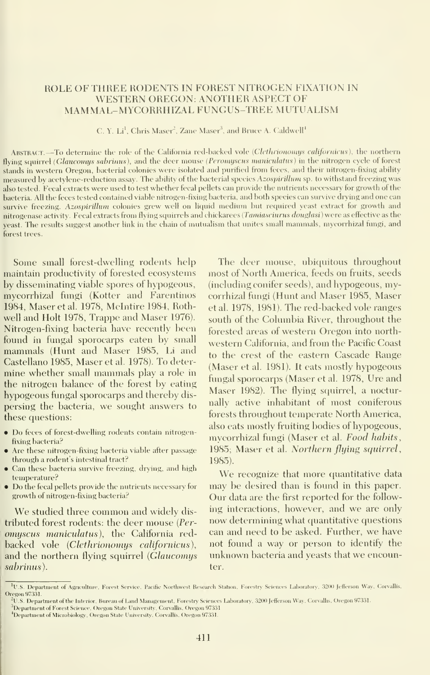## ROLE OF THREE RODENTS IN FOREST NITROGEN FIXATION IN WESTERN OREGON: ANOTHER ASPECT OF MAMMAL-MYCORRHIZAL FUNGUS-TREE MUTUALISM

C. Y. Li<sup>1</sup>, Chris Maser<sup>2</sup>, Zane Maser<sup>3</sup>, and Bruce A. Caldwell<sup>4</sup>

ABSTRACT. —To determine the role of the California red-backed vole (Clethrionomys californicus), the northern flying squirrel (Glaucomys sabrinus), and the deer mouse (Peromyscus maniculatus) in the nitrogen cycle of forest stands in western Oregon, bacterial colonies were isolated and purified from feces, and their nitrogen-fixing ability measured by acetylene-reduction assay. The ability of the bacterial species Azospirillum sp. to withstand freezing was also tested. Fecal extracts were used to test whether fecal pellets can provide the nutrients necessary for growth of the bacteria. All the feces tested contained viable nitrogen-fixing bacteria, and both species can survive drying and one can survive freezing. Azospirillum colonies grew well on liquid medium but required yeast extract for growth and nitrogenase activity. Fecal extracts from flying squirrels and chickarees (Tamiasciurus douglasi) were as effective as the yeast. The results suggest another link in the chain of mutualism that unites small mammals, mycorrhizal fungi, and forest trees.

Some small forest-dwelling rodents help maintain productivity of forested ecosystems by disseminating viable spores of hypogeous, mycorrhizal fungi (Kotter and Farentinos 1984, Maser et al. 1978, Mclntire 1984, Rothwell and Holt 1978, Trappe and Maser 1976). Nitrogen-fixing bacteria have recently been found in fungal sporocarps eaten by small mammals (Hunt and Maser 1985, Li and Castellano 1985, Maser et al. 1978). To deter mine whether small mammals play <sup>a</sup> role in the nitrogen balance of the forest by eating hypogeous fungal sporocarps and thereby dis persing the bacteria, we sought answers to these questions:

- Do feces of forest-dwelling rodents contain nitrogenfixing bacteria?
- Are these nitrogen-fixing bacteria viable after passage through a rodent's intestinal tract?
- Can these bacteria survive freezing, drying, and high temperature?
- Do the fecal pellets provide the nutrients necessary for growth of nitrogen-fixing bacteria?

We studied three common and widely dis tributed forest rodents: the deer mouse (Per omyscus maniculatus), the California redbacked vole (Clethrionomys californicus), and the northern flying squirrel (Glaucomys sabrinus).

The deer mouse, ubiquitous throughout most of North America, feeds on fruits, seeds (including conifer seeds), and hypogeous, mycorrhizal fungi (Hunt and Maser 1985, Maser etal. 1978, 1981). The red-backed vole ranges south of the Columbia River, throughout the forested areas of western Oregon into north western California, and from the Pacific Coast to the crest of the eastern Cascade Range (Maser et al. 1981). It eats mostly hypogeous fungal sporocarps (Maser et al. 1978, Ure and Maser 1982). The flying squirrel, a nocturnally active inhabitant of most coniferous forests throughout temperate North America, also eats mostly fruiting bodies of hypogeous, mycorrhizal fungi (Maser et al. Food habits, 1985; Maser et al. Northern flying squirrel, 1985).

We recognize that more quantitative data may be desired than is found in this paper. Our data are the first reported for the follow ing interactions, however, and we are only now determining what quantitative questions can and need to be asked. Further, we have not found a way or person to identify the unknown bacteria and yeasts that we encounter.

<sup>&</sup>lt;sup>1</sup>U.S. Department of Agriculture, Forest Service, Pacific Northwest Research Station, Forestry Sciences Laboratory, 3200 Jefferson Way, Corvallis, Oregon 97331.

 $^{\rm k}$ U.S. Department of the Interior, Bureau of Land Management, Forestry Sciences Laboratory, 3200 Jefferson Way, Corvallis, Oregon 97331

<sup>&</sup>lt;sup>3</sup>Department of Forest Science, Oregon State University, Corvallis, Oregon 97331.

Department of Microbiology, Oregon State University, Corvallis, Oregon 97331.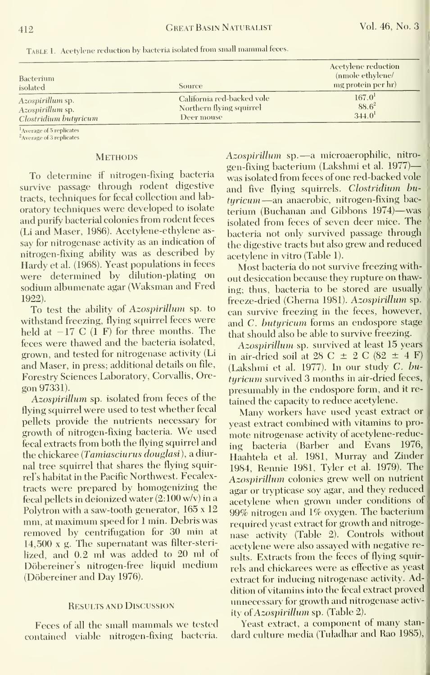| Bacterium<br>isolated    | Source                     | Acetylene reduction<br>(nmole ethylene/<br>mg protein per hr) |
|--------------------------|----------------------------|---------------------------------------------------------------|
| Az <i>ospirillum</i> sp. | California red-backed vole | $167.0^1$                                                     |
| Azospirillum sp.         | Northern flying squirrel   | $88.6^2$                                                      |
| Clostridium butyricum    | Deer mouse                 | 344.0 <sup>1</sup>                                            |

Table 1. Acetylene reduction by bacteria isolated from small mammal feces.

<sup>1</sup> Average of 5 replicates

<sup>2</sup>Average of 3 replicates

#### **METHODS**

To determine if nitrogen-fixing bacteria survive passage through rodent digestive tracts, techniques for fecal collection and lab oratory techniques were developed to isolate and purify bacterial colonies from rodent feces (Li and Maser, 1986). Acetylene-ethylene as say for nitrogenase activity as an indication of nitrogen-fixing ability was as described by Hardy et al. (1968). Yeast populations in feces were determined by dilution-plating on sodium albumenate agar (Waksman and Fred 1922).

To test the ability of Azospirillum sp. to withstand freezing, flying squirrel feces were held at  $-17$  C (1 F) for three months. The feces were thawed and the bacteria isolated, grown, and tested for nitrogenase activity (Li and Maser, in press; additional details on file. Forestry Sciences Laboratory, Corvallis, Ore gon 97331).

Azospirillum sp. isolated from feces of the flying squirrel were used to test whether fecal pellets provide the nutrients necessary for growth of nitrogen-fixing bacteria. We used fecal extracts from both the flying squirrel and the chickaree (Tamiasciurus douglasi), a diurnal tree squirrel that shares the flying squirrel's habitat in the Pacific Northwest. Fecalextracts were prepared by homogenizing the fecal pellets in deionized water (2:100 w/v) in a Polytron with a saw-tooth generator, 165 x 12 mm, at maximum speed for <sup>1</sup> min. Debris was removed by centrifugation for 30 min at 14,500 x g. The supernatant was filter-steri lized, and 0.2 ml was added to 20 ml of Döbereiner's nitrogen-free liquid medium (Döbereiner and Day 1976).

#### Results and Discussion

Feces of all the small mammals we tested contained viable nitrogen-fixing bacteria.

Azospirillum sp. —<sup>a</sup> microaerophilic, nitro gen-fixing bacterium (Lakshmi et al. 1977) was isolated from feces of one red-backed vole and five flying squirrels. Clostridium butyricum —an anaerobic, nitrogen-fixing bac terium (Buchanan and Gibbons 1974)—was isolated from feces of seven deer mice. The bacteria not only survived passage through the digestive tracts but also grew and reduced acetylene in vitro (Table 1).

Most bacteria do not survive freezing with out desiccation because they rupture on thawing; thus, bacteria to be stored are usually freeze-dried (Gherna 1981). Azospirillum sp. can survive freezing in the feces, however, and C. hutyricum forms an endospore stage that should also be able to survive freezing.

Azospirillum sp. survived at least 15 years in air-dried soil at 28 C  $\pm$  2 C (82  $\pm$  4 F) (Lakshmi et al. 1977). In our study C. hu turicum survived 3 months in air-dried feces, presumably in the endospore form, and it re tained the capacity to reduce acetylene.

Many workers have used yeast extract or yeast extract combined with vitamins to pro mote nitrogenase activity of acetylene-reducing bacteria (Barber and Evans 1976, Haahtela et al. 1981, Murray and Zinder 1984, Rennie 1981, Tyler et al. 1979). The Azospirillum colonies grew well on nutrient agar or trypticase soy agar, and they reduced acetylene when grown under conditions of 99% nitrogen and 1% oxygen. The bacterium required yeast extract for growth and nitroge nase activity (Table 2). Controls without acetylene were also assayed with negative results. Extracts from the feces of flying squirrels and chickarees were as effective as yeast extract for inducing nitrogenase activity. Addition of vitamins into the fecal extract proved unnecessary for growth and nitrogenase activity of Azospirillum sp. (Table 2).

Yeast extract, <sup>a</sup> component of many stan dard culture media (Tuladhar and Rao 1985),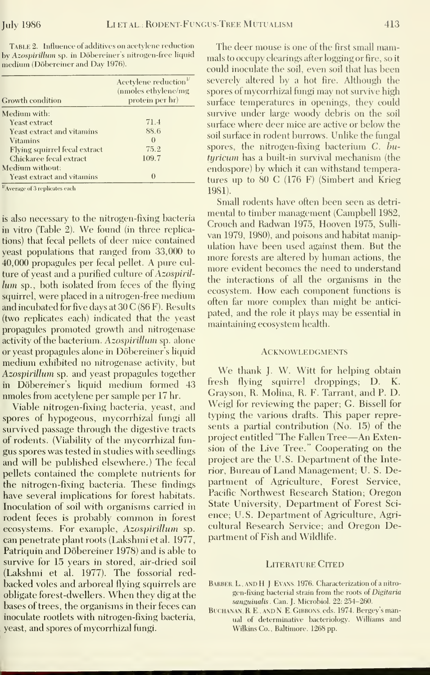TABLE 2. Influence of additives on acetylene reduction The deer mouse is one of the first small mamby Azospirillum sp. in Döbereiner's nitrogen-free liquid mals to occupy clearings after logging or fire, so it medium (Dobereiner and Day 1976).

| Growth condition                 | Acetylene reduction <sup>1/</sup><br>(nmoles ethylene/mg<br>protein per hr) |
|----------------------------------|-----------------------------------------------------------------------------|
| Medium with:                     |                                                                             |
| Yeast extract                    | 71.4                                                                        |
| Yeast extract and vitamins       | 88.6                                                                        |
| <b>Vitamins</b>                  | $\theta$                                                                    |
| Flying squirrel fecal extract    | 75.2                                                                        |
| Chickaree fecal extract          | 109.7                                                                       |
| Medium without:                  |                                                                             |
| Yeast extract and vitamins       | $\theta$                                                                    |
| $V$ Average of 3 replicates each |                                                                             |

is also necessary to the nitrogen-fixing bacteria in vitro (Table 2). We found (in three replications) that fecal pellets of deer mice contained yeast populations that ranged from 33,000 to 40,000 propagules per fecal pellet. A pure culture of yeast and a purified culture of Azospirillum sp., both isolated from feces of the flying squirrel, were placed in a nitrogen-free medium and incubated for five days at  $30 C(86 F)$ . Results (two replicates each) indicated that the veast propagules promoted growth and nitrogenase activity of the bacterium. Azospirillum sp. alone or yeast propagules alone in Döbereiner's liquid medium exhibited no nitrogenase activity, but Azospirillum sp. and yeast propagules together in Döbereiner's liquid medium formed 43 nmoles from acetylene per sample per 17 hr.

Viable nitrogen-fixing bacteria, yeast, and spores of hypogeous, mycorrhizal fungi all survived passage through the digestive tracts of rodents. (Viability of the mycorrhizal fungus spores was tested in studies with seedlings and will be published elsewhere.) The fecal pellets contained the complete nutrients for the nitrogen-fixing bacteria. These findings have several implications for forest habitats. Inoculation of soil with organisms carried in rodent feces is probably common in forest ecosystems. For example, Azospirillum sp. can penetrate plant roots (Lakshmi et al. 1977, Patriquin and Döbereiner 1978) and is able to survive for 15 years in stored, air-dried soil (Lakshmi et al. 1977). The fossorial redbacked voles and arboreal flying squirrels are obligate forest-dwellers. When they dig at the bases of trees, the organisms in their feces can inoculate rootlets with nitrogen-fixing bacteria, yeast, and spores of mycorrhizal fungi.

could inoculate the soil, even soil that has been severely altered by a hot fire. Although the spores of mycorrhizal fungi may not survive high surface temperatures in openings, they could survive under large woody debris on the soil surface where deer mice are active or below the soil surface in rodent burrows. Unlike the fungal spores, the nitrogen-fixing bacterium  $C$ ,  $\overline{bu}$ turicum has a built-in survival mechanism (the endospore) by which it can withstand temperatures up to 80 C (176 F) (Simbert and Krieg 1981).

Small rodents have often been seen as detrimental to timber management (Campbell 1982, Crouch and Radwan 1975, Hooven 1975, Sullivan 1979, 1980), and poisons and habitat manipulation have been used against them. But the more forests are altered by human actions, the more evident becomes the need to understand the interactions of all the organisms in the ecosystem. How each component functions is often far more complex than might be anticipated, and the role it plays may be essential in maintaining ecosystem health.

#### **ACKNOWLEDGMENTS**

We thank J. W. Witt for helping obtain fresh flying squirrel droppings; D. Κ. Gravson, R. Molina, R. F. Tarrant, and P. D. Weigl for reviewing the paper; G. Bissell for typing the various drafts. This paper represents a partial contribution (No. 15) of the project entitled "The Fallen Tree-An Extension of the Live Tree." Cooperating on the project are the U.S. Department of the Interior, Bureau of Land Management; U. S. Department of Agriculture, Forest Service, Pacific Northwest Research Station; Oregon State University, Department of Forest Science; U.S. Department of Agriculture, Agricultural Research Service; and Oregon Department of Fish and Wildlife.

#### **LITERATURE CITED**

- BARBER, L. AND H. J. EVANS, 1976. Characterization of a nitrogen-fixing bacterial strain from the roots of Digitaria sanguinalis. Can. J. Microbiol. 22: 254-260.
- BUCHANAN, R. E., AND N. E. GIBBONS, eds. 1974. Bergey's manual of determinative bacteriology. Williams and Wilkins Co., Baltimore. 1268 pp.